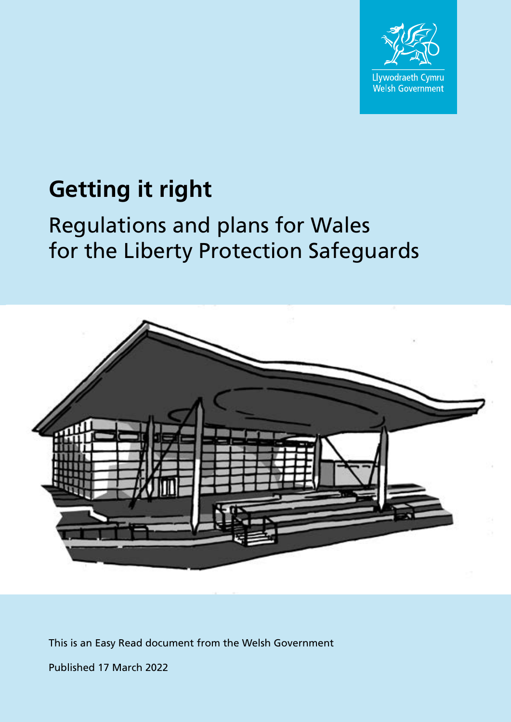

# **Getting it right**

# Regulations and plans for Wales for the Liberty Protection Safeguards



This is an Easy Read document from the Welsh Government

Published 17 March 2022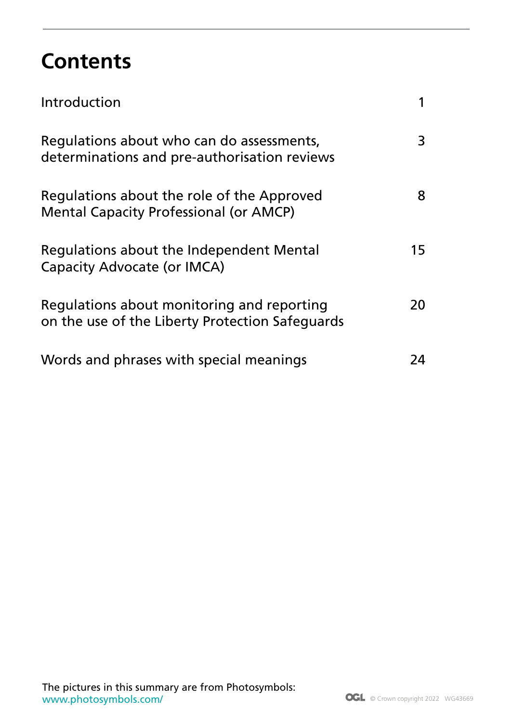## **Contents**

| Introduction                                                                                  |    |
|-----------------------------------------------------------------------------------------------|----|
| Regulations about who can do assessments,<br>determinations and pre-authorisation reviews     | 3  |
| Regulations about the role of the Approved<br><b>Mental Capacity Professional (or AMCP)</b>   | 8  |
| Regulations about the Independent Mental<br><b>Capacity Advocate (or IMCA)</b>                | 15 |
| Regulations about monitoring and reporting<br>on the use of the Liberty Protection Safeguards | 20 |
| Words and phrases with special meanings                                                       | 24 |

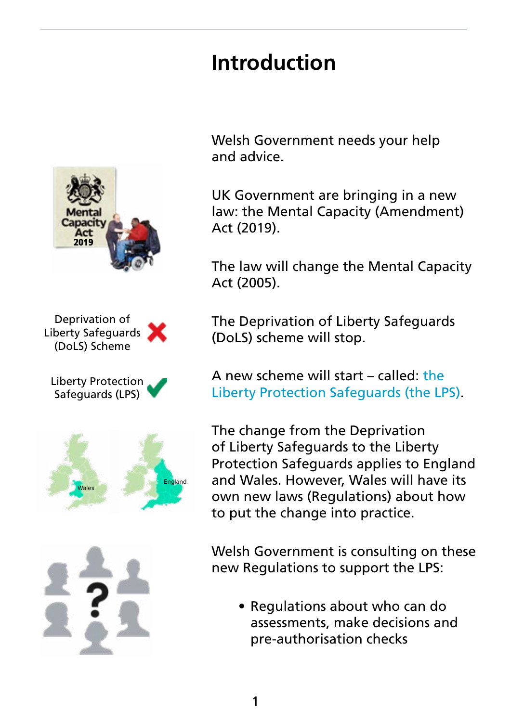# **Introduction**





Liberty Protection Safeguards (LPS)





Welsh Government needs your help and advice.

UK Government are bringing in a new law: the Mental Capacity (Amendment) Act (2019).

The law will change the Mental Capacity Act (2005).

The Deprivation of Liberty Safeguards (DoLS) scheme will stop.

A new scheme will start – called: the Liberty Protection Safeguards (the LPS).

The change from the Deprivation of Liberty Safeguards to the Liberty Protection Safeguards applies to England and Wales. However, Wales will have its own new laws (Regulations) about how to put the change into practice.

Welsh Government is consulting on these new Regulations to support the LPS:

• Regulations about who can do assessments, make decisions and pre-authorisation checks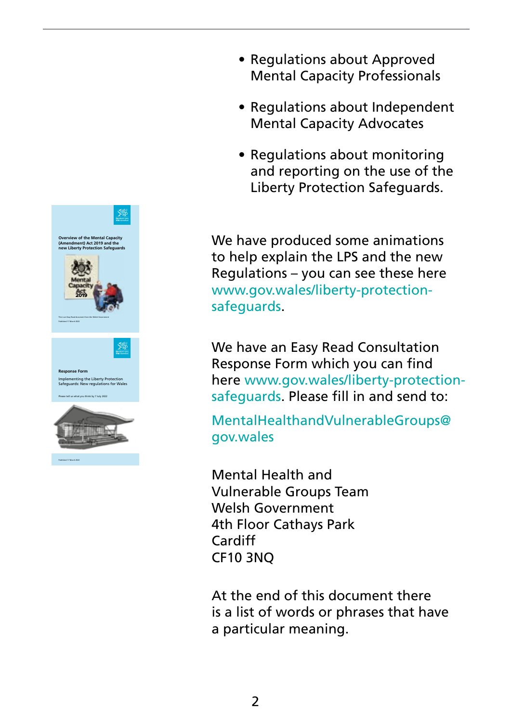

- Regulations about Approved Mental Capacity Professionals
- Regulations about Independent Mental Capacity Advocates
- Regulations about monitoring and reporting on the use of the Liberty Protection Safeguards.

We have produced some animations to help explain the LPS and the new Regulations – you can see these here [www.gov.wales/liberty-protection](https://www.gov.wales/liberty-protection-safeguards)[safeguards.](https://www.gov.wales/liberty-protection-safeguards)

We have an Easy Read Consultation Response Form which you can find here [www.gov.wales/liberty-protection](https://www.gov.wales/liberty-protection-safeguards)[safeguards.](https://www.gov.wales/liberty-protection-safeguards) Please fill in and send to:

[MentalHealthandVulnerableGroups@](mailto:MentalHealthandVulnerableGroups%40gov.wales?subject=) [gov.wales](mailto:MentalHealthandVulnerableGroups%40gov.wales?subject=)

Mental Health and Vulnerable Groups Team Welsh Government 4th Floor Cathays Park Cardiff CF10 3NQ

At the end of this document there is a list of words or phrases that have a particular meaning.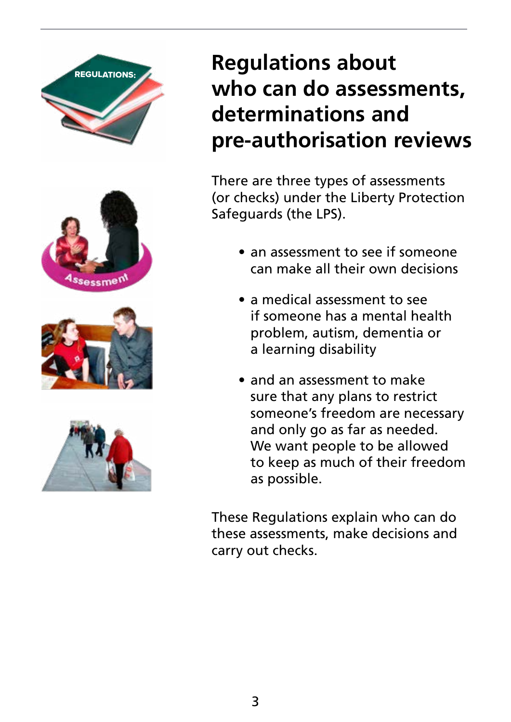







# **Regulations about who can do assessments, determinations and pre-authorisation reviews**

There are three types of assessments (or checks) under the Liberty Protection Safeguards (the LPS).

- an assessment to see if someone can make all their own decisions
- a medical assessment to see if someone has a mental health problem, autism, dementia or a learning disability
- and an assessment to make sure that any plans to restrict someone's freedom are necessary and only go as far as needed. We want people to be allowed to keep as much of their freedom as possible.

These Regulations explain who can do these assessments, make decisions and carry out checks.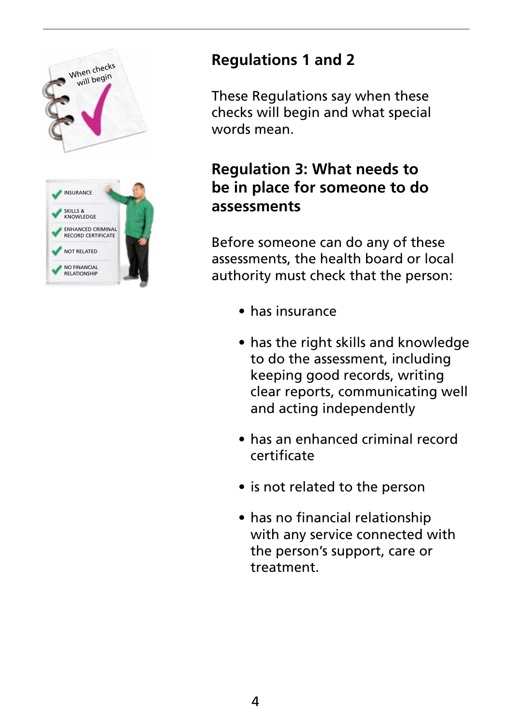



## **Regulations 1 and 2**

These Regulations say when these checks will begin and what special words mean.

#### **Regulation 3: What needs to be in place for someone to do assessments**

Before someone can do any of these assessments, the health board or local authority must check that the person:

- has insurance
- has the right skills and knowledge to do the assessment, including keeping good records, writing clear reports, communicating well and acting independently
- has an enhanced criminal record certificate
- is not related to the person
- has no financial relationship with any service connected with the person's support, care or treatment.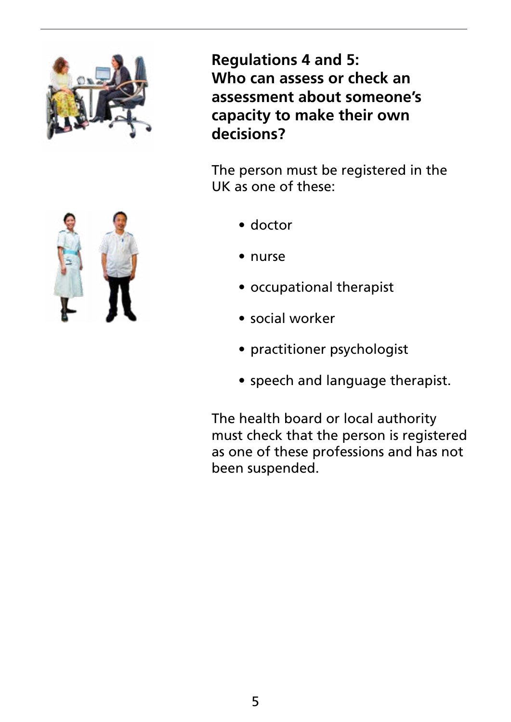

**Regulations 4 and 5: Who can assess or check an assessment about someone's capacity to make their own decisions?**

The person must be registered in the UK as one of these:

- doctor
- nurse
- occupational therapist
- social worker
- practitioner psychologist
- speech and language therapist.

The health board or local authority must check that the person is registered as one of these professions and has not been suspended.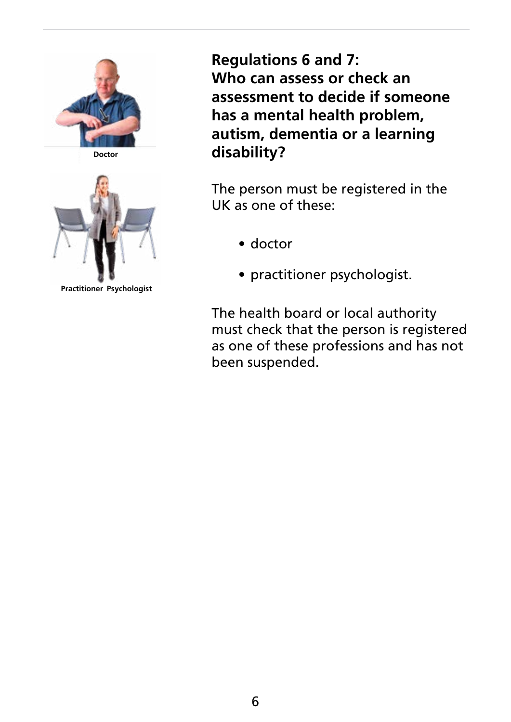

**Doctor**



**Practitioner Psychologist**

**Regulations 6 and 7: Who can assess or check an assessment to decide if someone has a mental health problem, autism, dementia or a learning disability?**

The person must be registered in the UK as one of these:

- doctor
- practitioner psychologist.

The health board or local authority must check that the person is registered as one of these professions and has not been suspended.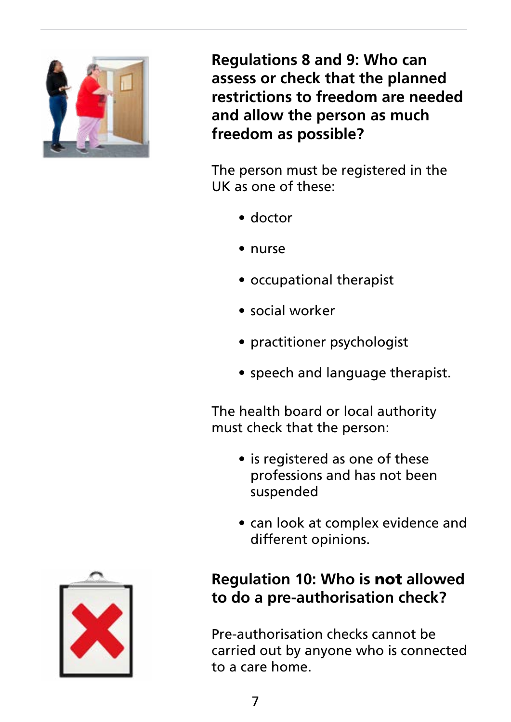

**Regulations 8 and 9: Who can assess or check that the planned restrictions to freedom are needed and allow the person as much freedom as possible?**

The person must be registered in the UK as one of these:

- doctor
- nurse
- occupational therapist
- social worker
- practitioner psychologist
- speech and language therapist.

The health board or local authority must check that the person:

- is registered as one of these professions and has not been suspended
- can look at complex evidence and different opinions.

## **Regulation 10: Who is** not **allowed to do a pre-authorisation check?**

Pre-authorisation checks cannot be carried out by anyone who is connected to a care home.

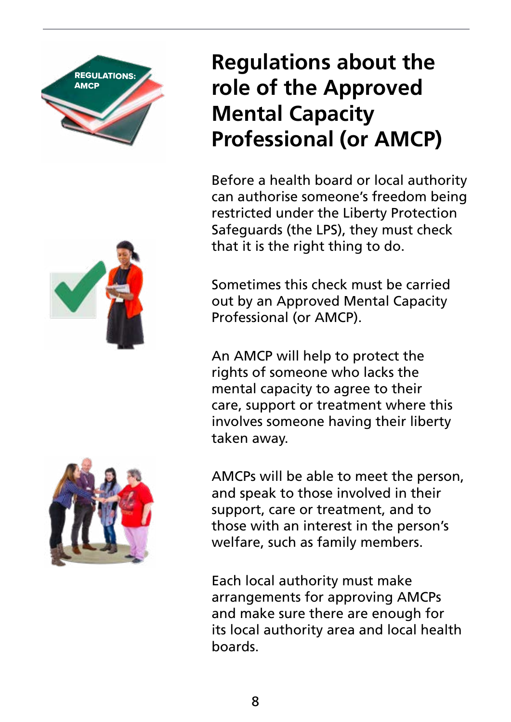



# **Regulations about the role of the Approved Mental Capacity Professional (or AMCP)**

Before a health board or local authority can authorise someone's freedom being restricted under the Liberty Protection Safeguards (the LPS), they must check that it is the right thing to do.

Sometimes this check must be carried out by an Approved Mental Capacity Professional (or AMCP).

An AMCP will help to protect the rights of someone who lacks the mental capacity to agree to their care, support or treatment where this involves someone having their liberty taken away.



Each local authority must make arrangements for approving AMCPs and make sure there are enough for its local authority area and local health boards.

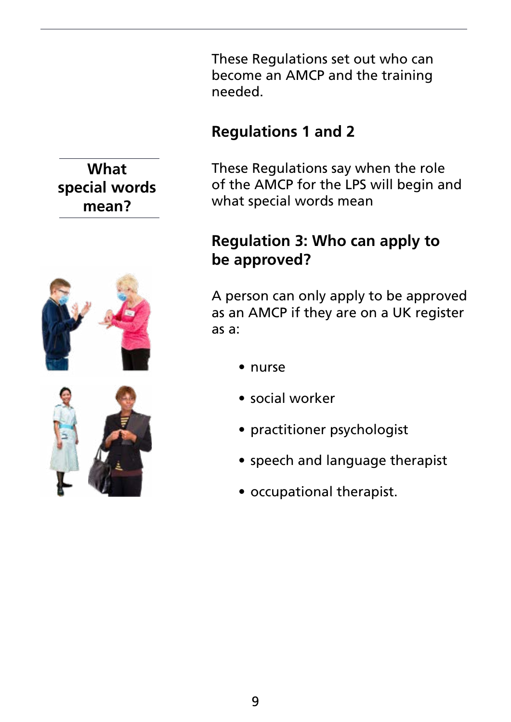These Regulations set out who can become an AMCP and the training needed.

### **Regulations 1 and 2**

These Regulations say when the role of the AMCP for the LPS will begin and what special words mean

#### **Regulation 3: Who can apply to be approved?**

A person can only apply to be approved as an AMCP if they are on a UK register as a:

- nurse
- social worker
- practitioner psychologist
- speech and language therapist
- occupational therapist.

## **What special words mean?**

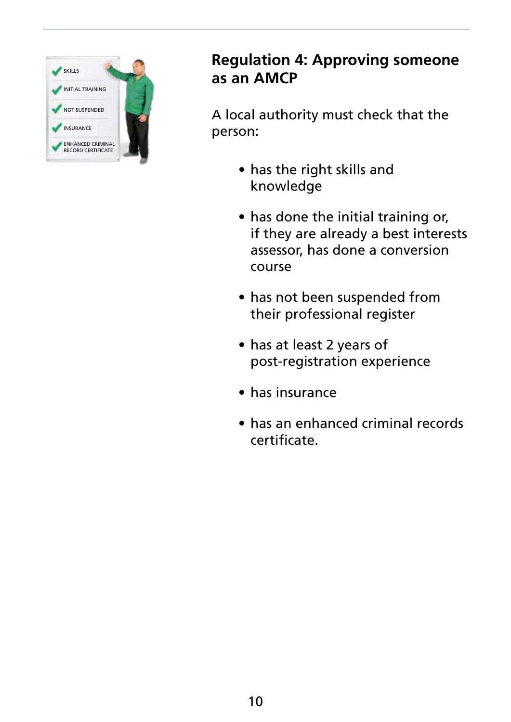

#### **Regulation 4: Approving someone as an AMCP**

A local authority must check that the person:

- has the right skills and knowledge
- has done the initial training or, if they are already a best interests assessor, has done a conversion course
- has not been suspended from their professional register
- has at least 2 years of post-registration experience
- has insurance
- has an enhanced criminal records certificate.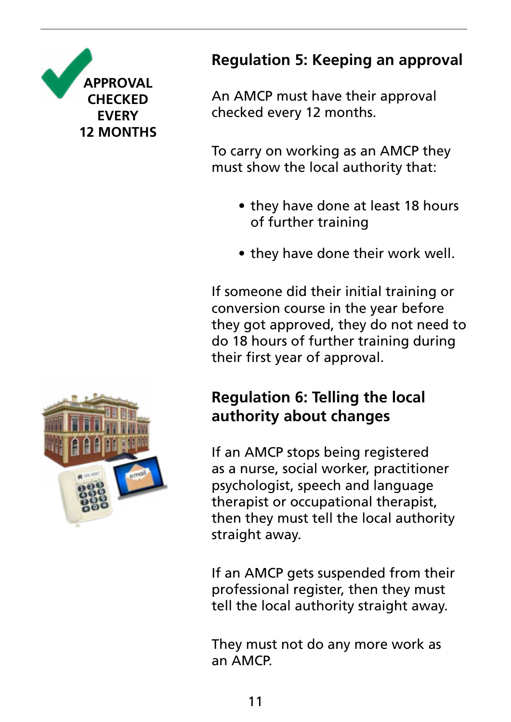

## **Regulation 5: Keeping an approval**

An AMCP must have their approval checked every 12 months.

To carry on working as an AMCP they must show the local authority that:

- they have done at least 18 hours of further training
- they have done their work well.

If someone did their initial training or conversion course in the year before they got approved, they do not need to do 18 hours of further training during their first year of approval.

## **Regulation 6: Telling the local authority about changes**

If an AMCP stops being registered as a nurse, social worker, practitioner psychologist, speech and language therapist or occupational therapist, then they must tell the local authority straight away.

If an AMCP gets suspended from their professional register, then they must tell the local authority straight away.

They must not do any more work as an AMCP.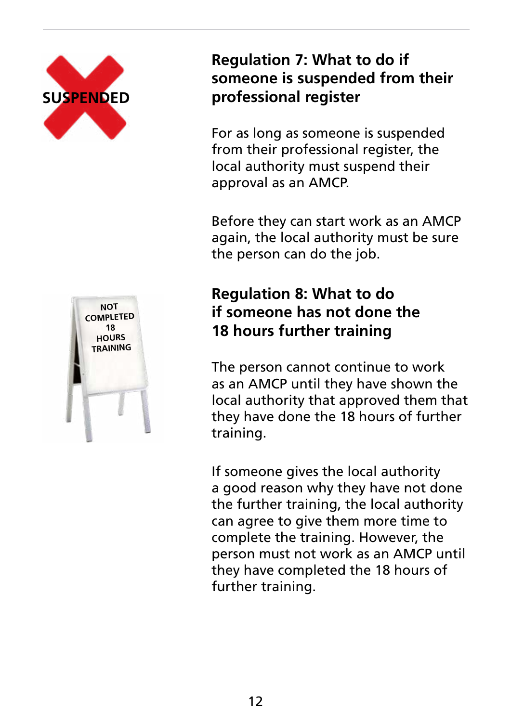

#### **Regulation 7: What to do if someone is suspended from their professional register**

For as long as someone is suspended from their professional register, the local authority must suspend their approval as an AMCP.

Before they can start work as an AMCP again, the local authority must be sure the person can do the job.

#### **Regulation 8: What to do if someone has not done the 18 hours further training**

The person cannot continue to work as an AMCP until they have shown the local authority that approved them that they have done the 18 hours of further training.

If someone gives the local authority a good reason why they have not done the further training, the local authority can agree to give them more time to complete the training. However, the person must not work as an AMCP until they have completed the 18 hours of further training.

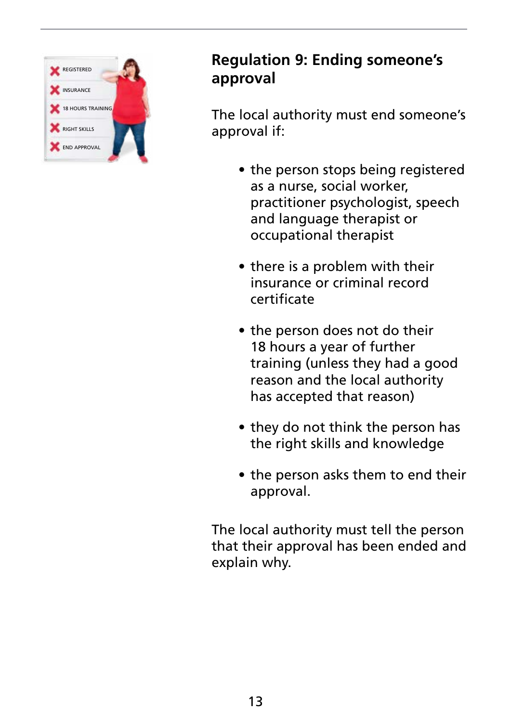

#### **Regulation 9: Ending someone's approval**

The local authority must end someone's approval if:

- the person stops being registered as a nurse, social worker, practitioner psychologist, speech and language therapist or occupational therapist
- there is a problem with their insurance or criminal record certificate
- the person does not do their 18 hours a year of further training (unless they had a good reason and the local authority has accepted that reason)
- they do not think the person has the right skills and knowledge
- the person asks them to end their approval.

The local authority must tell the person that their approval has been ended and explain why.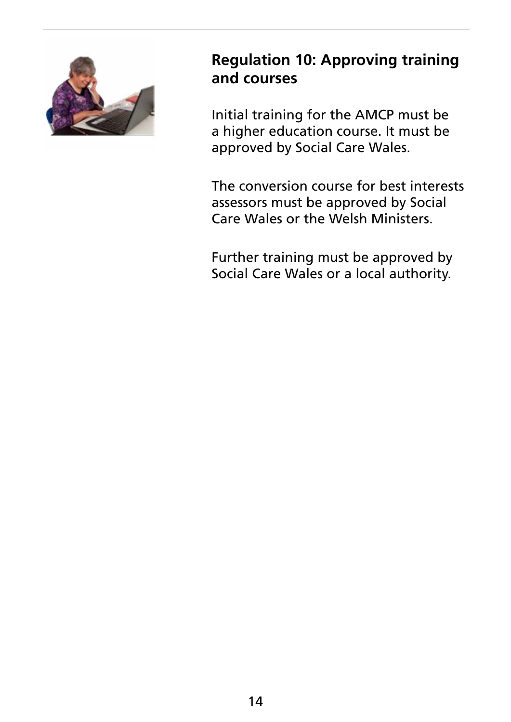

#### **Regulation 10: Approving training and courses**

Initial training for the AMCP must be a higher education course. It must be approved by Social Care Wales.

The conversion course for best interests assessors must be approved by Social Care Wales or the Welsh Ministers.

Further training must be approved by Social Care Wales or a local authority.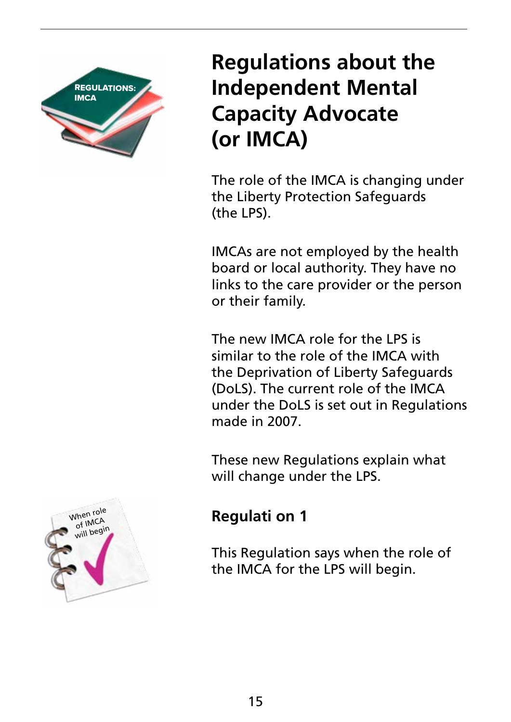

# **Regulations about the Independent Mental Capacity Advocate (or IMCA)**

The role of the IMCA is changing under the Liberty Protection Safeguards (the LPS).

IMCAs are not employed by the health board or local authority. They have no links to the care provider or the person or their family.

The new IMCA role for the LPS is similar to the role of the IMCA with the Deprivation of Liberty Safeguards (DoLS). The current role of the IMCA under the DoLS is set out in Regulations made in 2007.

These new Regulations explain what will change under the LPS.

## **Regulati on 1**

This Regulation says when the role of the IMCA for the LPS will begin.

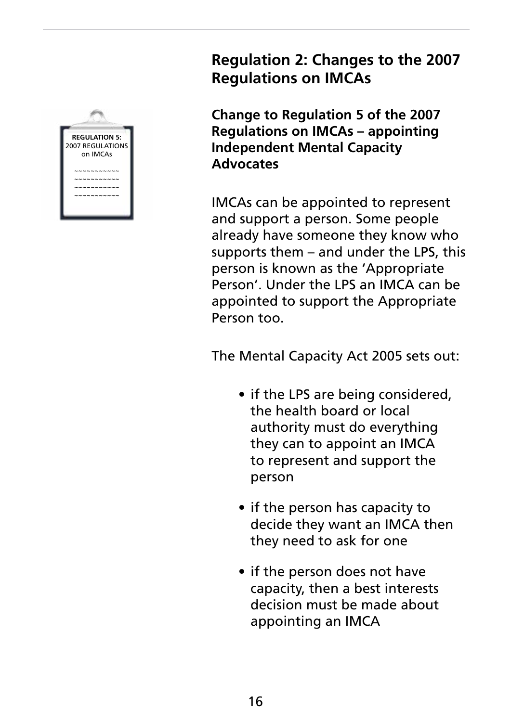

#### **Regulation 2: Changes to the 2007 Regulations on IMCAs**

**Change to Regulation 5 of the 2007 Regulations on IMCAs – appointing Independent Mental Capacity Advocates**

IMCAs can be appointed to represent and support a person. Some people already have someone they know who supports them – and under the LPS, this person is known as the 'Appropriate Person'. Under the LPS an IMCA can be appointed to support the Appropriate Person too.

The Mental Capacity Act 2005 sets out:

- if the LPS are being considered, the health board or local authority must do everything they can to appoint an IMCA to represent and support the person
- if the person has capacity to decide they want an IMCA then they need to ask for one
- if the person does not have capacity, then a best interests decision must be made about appointing an IMCA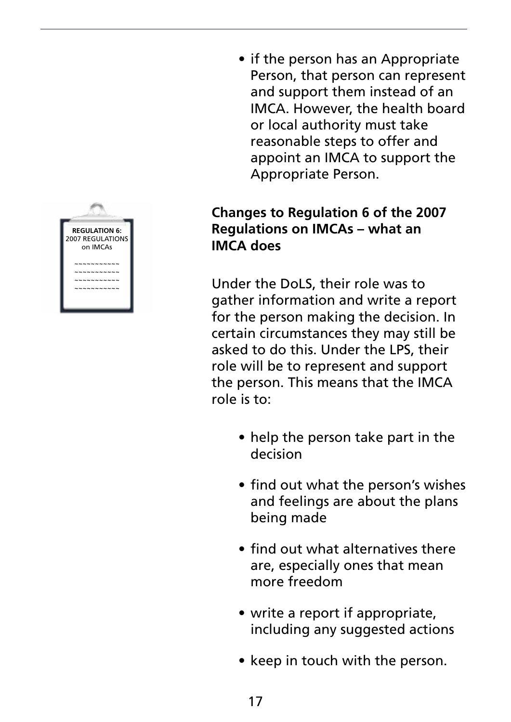

• if the person has an Appropriate Person, that person can represent and support them instead of an IMCA. However, the health board or local authority must take reasonable steps to offer and appoint an IMCA to support the Appropriate Person.

#### **Changes to Regulation 6 of the 2007 Regulations on IMCAs – what an IMCA does**

Under the DoLS, their role was to gather information and write a report for the person making the decision. In certain circumstances they may still be asked to do this. Under the LPS, their role will be to represent and support the person. This means that the IMCA role is to:

- help the person take part in the decision
- find out what the person's wishes and feelings are about the plans being made
- find out what alternatives there are, especially ones that mean more freedom
- write a report if appropriate, including any suggested actions
- keep in touch with the person.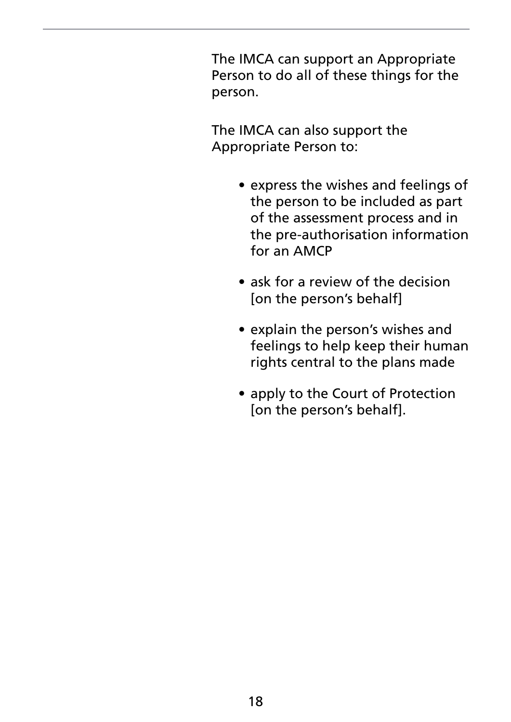The IMCA can support an Appropriate Person to do all of these things for the person.

The IMCA can also support the Appropriate Person to:

- express the wishes and feelings of the person to be included as part of the assessment process and in the pre-authorisation information for an AMCP
- ask for a review of the decision [on the person's behalf]
- explain the person's wishes and feelings to help keep their human rights central to the plans made
- apply to the Court of Protection [on the person's behalf].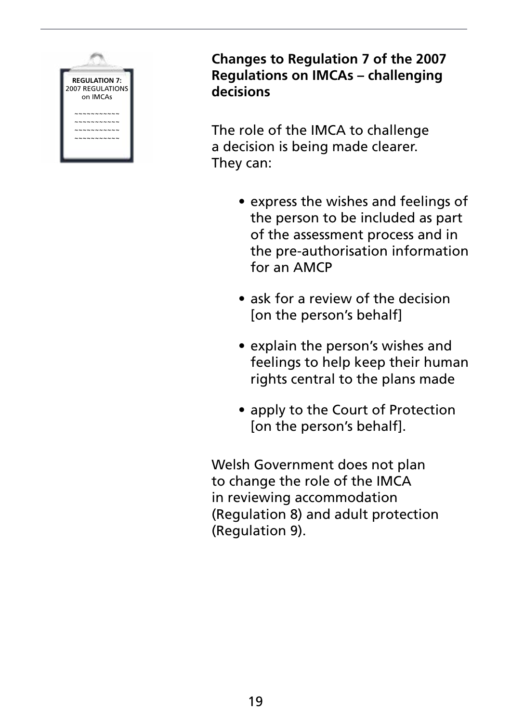

**Changes to Regulation 7 of the 2007 Regulations on IMCAs – challenging decisions**

The role of the IMCA to challenge a decision is being made clearer. They can:

- express the wishes and feelings of the person to be included as part of the assessment process and in the pre-authorisation information for an AMCP
- ask for a review of the decision [on the person's behalf]
- explain the person's wishes and feelings to help keep their human rights central to the plans made
- apply to the Court of Protection [on the person's behalf].

Welsh Government does not plan to change the role of the IMCA in reviewing accommodation (Regulation 8) and adult protection (Regulation 9).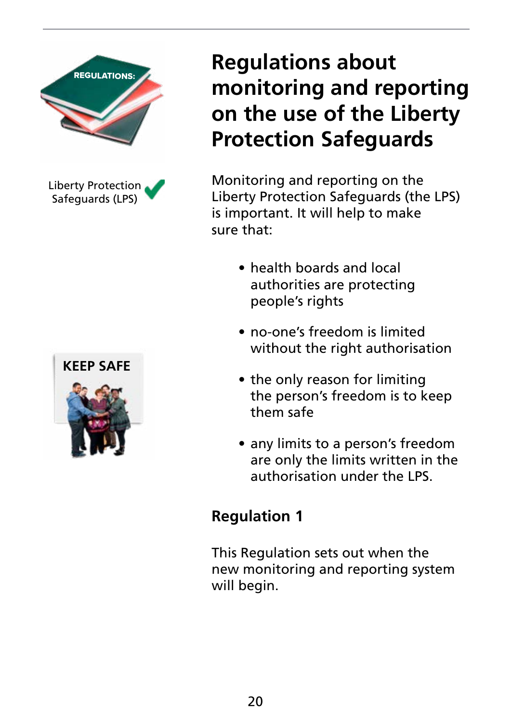

Liberty Protection Safeguards (LPS)



# **Regulations about monitoring and reporting on the use of the Liberty Protection Safeguards**

Monitoring and reporting on the Liberty Protection Safeguards (the LPS) is important. It will help to make sure that:

- health boards and local authorities are protecting people's rights
- no-one's freedom is limited without the right authorisation
- the only reason for limiting the person's freedom is to keep them safe
- any limits to a person's freedom are only the limits written in the authorisation under the LPS.

## **Regulation 1**

This Regulation sets out when the new monitoring and reporting system will begin.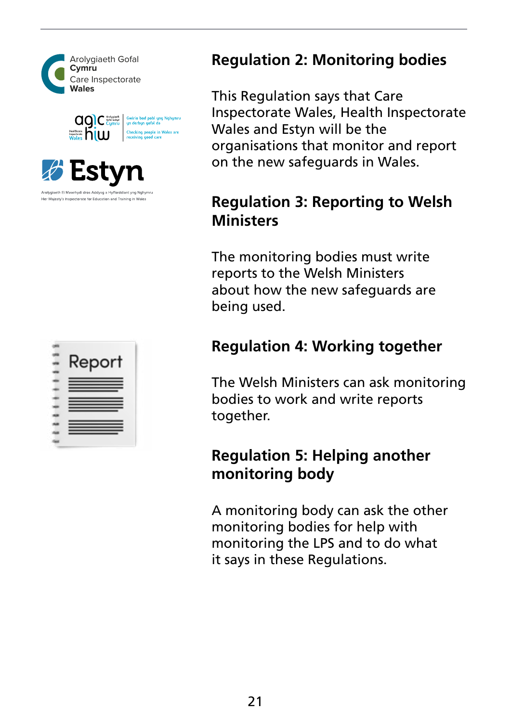







#### **Regulation 2: Monitoring bodies**

This Regulation says that Care Inspectorate Wales, Health Inspectorate Wales and Estyn will be the organisations that monitor and report on the new safeguards in Wales.

#### **Regulation 3: Reporting to Welsh Ministers**

The monitoring bodies must write reports to the Welsh Ministers about how the new safeguards are being used.

### **Regulation 4: Working together**

The Welsh Ministers can ask monitoring bodies to work and write reports together.

#### **Regulation 5: Helping another monitoring body**

A monitoring body can ask the other monitoring bodies for help with monitoring the LPS and to do what it says in these Regulations.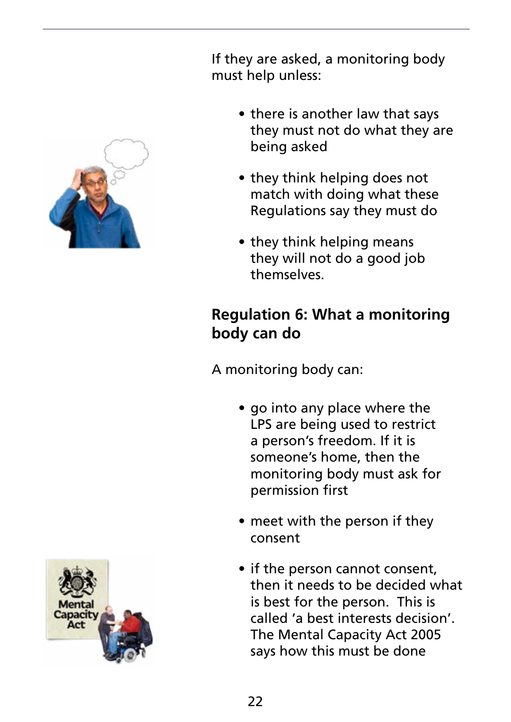

If they are asked, a monitoring body must help unless:

- there is another law that says they must not do what they are being asked
- they think helping does not match with doing what these Regulations say they must do
- they think helping means they will not do a good job themselves.

## **Regulation 6: What a monitoring body can do**

A monitoring body can:

- go into any place where the LPS are being used to restrict a person's freedom. If it is someone's home, then the monitoring body must ask for permission first
- meet with the person if they consent
- if the person cannot consent, then it needs to be decided what is best for the person. This is called 'a best interests decision'. The Mental Capacity Act 2005 says how this must be done

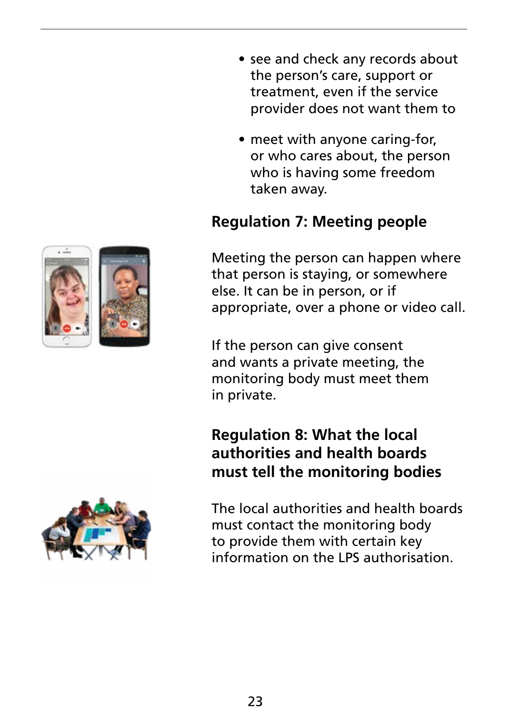- see and check any records about the person's care, support or treatment, even if the service provider does not want them to
- meet with anyone caring-for, or who cares about, the person who is having some freedom taken away.

## **Regulation 7: Meeting people**

Meeting the person can happen where that person is staying, or somewhere else. It can be in person, or if appropriate, over a phone or video call.

If the person can give consent and wants a private meeting, the monitoring body must meet them in private.

#### **Regulation 8: What the local authorities and health boards must tell the monitoring bodies**

The local authorities and health boards must contact the monitoring body to provide them with certain key information on the LPS authorisation.

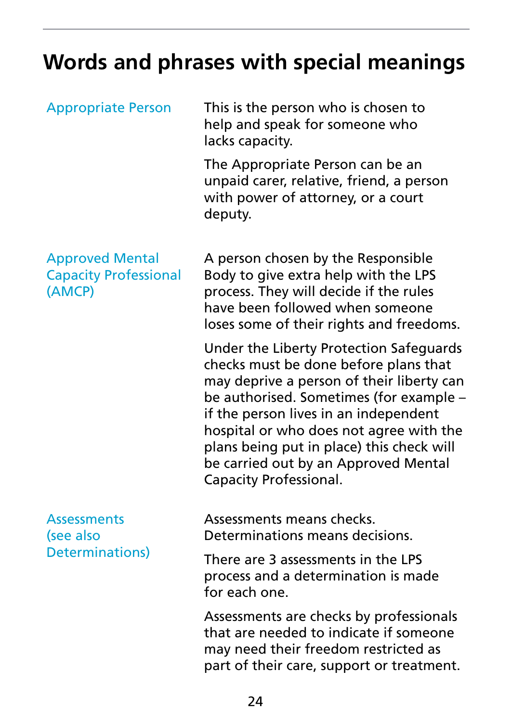# **Words and phrases with special meanings**

| <b>Appropriate Person</b>                                        | This is the person who is chosen to<br>help and speak for someone who<br>lacks capacity.                                                                                                                                                                                                                                                                                           |
|------------------------------------------------------------------|------------------------------------------------------------------------------------------------------------------------------------------------------------------------------------------------------------------------------------------------------------------------------------------------------------------------------------------------------------------------------------|
|                                                                  | The Appropriate Person can be an<br>unpaid carer, relative, friend, a person<br>with power of attorney, or a court<br>deputy.                                                                                                                                                                                                                                                      |
| <b>Approved Mental</b><br><b>Capacity Professional</b><br>(AMCP) | A person chosen by the Responsible<br>Body to give extra help with the LPS<br>process. They will decide if the rules<br>have been followed when someone<br>loses some of their rights and freedoms.                                                                                                                                                                                |
|                                                                  | Under the Liberty Protection Safeguards<br>checks must be done before plans that<br>may deprive a person of their liberty can<br>be authorised. Sometimes (for example –<br>if the person lives in an independent<br>hospital or who does not agree with the<br>plans being put in place) this check will<br>be carried out by an Approved Mental<br><b>Capacity Professional.</b> |
| <b>Assessments</b><br>(see also<br>Determinations)               | Assessments means checks.<br>Determinations means decisions.                                                                                                                                                                                                                                                                                                                       |
|                                                                  | There are 3 assessments in the LPS<br>process and a determination is made<br>for each one.                                                                                                                                                                                                                                                                                         |
|                                                                  | Assessments are checks by professionals<br>that are needed to indicate if someone<br>may need their freedom restricted as<br>part of their care, support or treatment.                                                                                                                                                                                                             |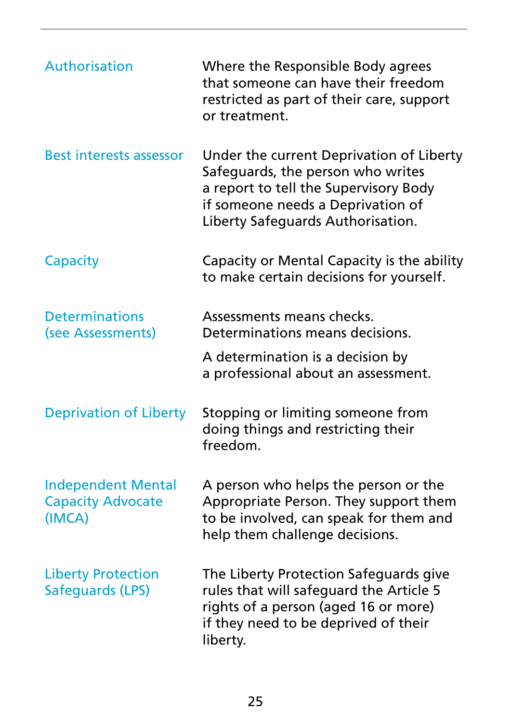| Authorisation                                                   | Where the Responsible Body agrees<br>that someone can have their freedom<br>restricted as part of their care, support<br>or treatment.                                                           |
|-----------------------------------------------------------------|--------------------------------------------------------------------------------------------------------------------------------------------------------------------------------------------------|
| <b>Best interests assessor</b>                                  | Under the current Deprivation of Liberty<br>Safeguards, the person who writes<br>a report to tell the Supervisory Body<br>if someone needs a Deprivation of<br>Liberty Safeguards Authorisation. |
| Capacity                                                        | Capacity or Mental Capacity is the ability<br>to make certain decisions for yourself.                                                                                                            |
| <b>Determinations</b><br>(see Assessments)                      | Assessments means checks.<br>Determinations means decisions.                                                                                                                                     |
|                                                                 | A determination is a decision by<br>a professional about an assessment.                                                                                                                          |
| <b>Deprivation of Liberty</b>                                   | Stopping or limiting someone from<br>doing things and restricting their<br>freedom.                                                                                                              |
| <b>Independent Mental</b><br><b>Capacity Advocate</b><br>(IMCA) | A person who helps the person or the<br>Appropriate Person. They support them<br>to be involved, can speak for them and<br>help them challenge decisions.                                        |
| <b>Liberty Protection</b><br>Safeguards (LPS)                   | The Liberty Protection Safeguards give<br>rules that will safeguard the Article 5<br>rights of a person (aged 16 or more)<br>if they need to be deprived of their<br>liberty.                    |